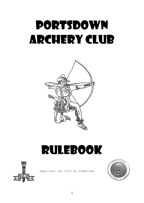# PORTSDOWN ARCHERY CLUB



# RULEBOOK



Approved: Jun 2014 by Committee

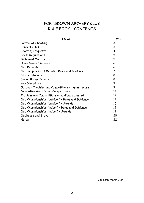# PORTSDOWN ARCHERY CLUB RULE BOOK – CONTENTS

| 3<br>Control of Shooting<br>3<br><b>General Rules</b><br><b>Shooting Etiquette</b><br>4<br><b>Dress Regulations</b><br>5<br><b>Inclement Weather</b><br>5<br>Home Ground Records<br>6<br>Club Records<br>6<br>Club Trophies and Medals - Rules and Guidance<br>7<br><b>Starred Rounds</b><br>8<br>Junior Badge Scheme<br>8<br><b>Bow Disciplines</b><br>9<br>9<br>Outdoor Trophies and Competitions- highest score<br><b>Cumulative Awards and Competitions</b><br>11<br>Trophies and Competitions - handicap adjusted<br>12<br>Club Championships (outdoor) - Rules and Guidance<br>14<br>Club Championships (outdoor) - Awards<br>15<br>Club Championships (indoor) - Rules and Guidance<br>19<br>Club Championships (indoor) - Awards<br>19<br>Clubhouse and Store<br>20 | ITEM  | PAGE |
|-----------------------------------------------------------------------------------------------------------------------------------------------------------------------------------------------------------------------------------------------------------------------------------------------------------------------------------------------------------------------------------------------------------------------------------------------------------------------------------------------------------------------------------------------------------------------------------------------------------------------------------------------------------------------------------------------------------------------------------------------------------------------------|-------|------|
|                                                                                                                                                                                                                                                                                                                                                                                                                                                                                                                                                                                                                                                                                                                                                                             |       |      |
|                                                                                                                                                                                                                                                                                                                                                                                                                                                                                                                                                                                                                                                                                                                                                                             |       |      |
|                                                                                                                                                                                                                                                                                                                                                                                                                                                                                                                                                                                                                                                                                                                                                                             |       |      |
|                                                                                                                                                                                                                                                                                                                                                                                                                                                                                                                                                                                                                                                                                                                                                                             |       |      |
|                                                                                                                                                                                                                                                                                                                                                                                                                                                                                                                                                                                                                                                                                                                                                                             |       |      |
|                                                                                                                                                                                                                                                                                                                                                                                                                                                                                                                                                                                                                                                                                                                                                                             |       |      |
|                                                                                                                                                                                                                                                                                                                                                                                                                                                                                                                                                                                                                                                                                                                                                                             |       |      |
|                                                                                                                                                                                                                                                                                                                                                                                                                                                                                                                                                                                                                                                                                                                                                                             |       |      |
|                                                                                                                                                                                                                                                                                                                                                                                                                                                                                                                                                                                                                                                                                                                                                                             |       |      |
|                                                                                                                                                                                                                                                                                                                                                                                                                                                                                                                                                                                                                                                                                                                                                                             |       |      |
|                                                                                                                                                                                                                                                                                                                                                                                                                                                                                                                                                                                                                                                                                                                                                                             |       |      |
|                                                                                                                                                                                                                                                                                                                                                                                                                                                                                                                                                                                                                                                                                                                                                                             |       |      |
|                                                                                                                                                                                                                                                                                                                                                                                                                                                                                                                                                                                                                                                                                                                                                                             |       |      |
|                                                                                                                                                                                                                                                                                                                                                                                                                                                                                                                                                                                                                                                                                                                                                                             |       |      |
|                                                                                                                                                                                                                                                                                                                                                                                                                                                                                                                                                                                                                                                                                                                                                                             |       |      |
|                                                                                                                                                                                                                                                                                                                                                                                                                                                                                                                                                                                                                                                                                                                                                                             |       |      |
|                                                                                                                                                                                                                                                                                                                                                                                                                                                                                                                                                                                                                                                                                                                                                                             |       |      |
|                                                                                                                                                                                                                                                                                                                                                                                                                                                                                                                                                                                                                                                                                                                                                                             |       |      |
|                                                                                                                                                                                                                                                                                                                                                                                                                                                                                                                                                                                                                                                                                                                                                                             |       |      |
|                                                                                                                                                                                                                                                                                                                                                                                                                                                                                                                                                                                                                                                                                                                                                                             | Notes | 22   |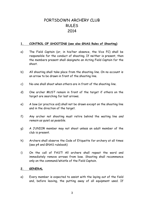# PORTSDOWN ARCHERY CLUB RULES 2014

# **1. CONTROL OF SHOOTING (see also GNAS Rules of Shooting)**

- a) The Field Captain (or, in his/her absence, the Vice FC) shall be responsible for the conduct of shooting. If neither is present, then the members present shall designate an Acting Field Captain for the shoot.
- b) All shooting shall take place from the shooting line. On no account is an arrow to be drawn in front of the shooting line.
- c) No-one shall shoot when others are in front of the shooting line.
- d) One archer MUST remain in front of the target if others on the target are searching for lost arrows.
- e) A bow (or practice aid) shall not be drawn except on the shooting line and in the direction of the target.
- f) Any archer not shooting must retire behind the waiting line *and remain as quiet as possible*.
- g) A JUNIOR member may not shoot unless an adult member of the club is present.
- h) Archers shall observe the Code of Etiquette for archery at all times (see p4 and GNAS rulebook)
- i) On the call of FAST! All archers shall repeat the word and immediately remove arrows from bow. Shooting shall recommence only on the command/whistle of the Field Captain.

#### **2. GENERAL**

a) Every member is expected to assist with the laying out of the field and, before leaving, the putting away of all equipment used. If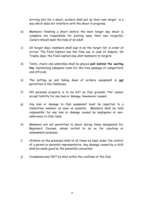arriving late for a shoot, archers shall put up their own target, in a way which does not interfere with the shoot in progress.

- b) Members finishing a shoot before the main target day shoot is complete are responsible for putting away their own target(s). Juniors should seek the help of an adult.
- c) On target days, members shall sign in on the target list *in order of arrival.* The Field Captain has the final say in case of dispute. On Trophy days, the Field Captain may allot members to targets.
- d) Tents, chairs and umbrellas shall be placed **well behind the waiting line**, maintaining adequate room for the free passage of competitors and officials.
- e) The setting up and taking down of archery equipment is *not* permitted in the Clubhouse.
- f) NO personal property is to be left on Club grounds. PAC cannot accept liability for any loss or damage, howsoever caused.
- g) Any loss or damage to Club equipment must be reported to a Committee member as soon as possible. Members shall be held responsible for any loss or damage caused by negligence or nonadherence to Club rules.
- h) Members are not permitted to shoot during times designated for Beginners' Courses, unless invited to do so for coaching or assessment purposes.
- i) Children on the premises shall at all times be kept under the control of a parent or parental representative. Any damage caused by a child shall be made good by the parent(s) concerned.
- j) Crossbows may NOT be shot within the confines of the Club.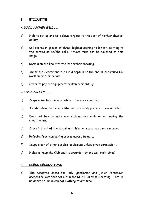#### **3. ETIQUETTE**

#### *A GOOD ARCHER WILL.......*

- a) Help to set up and take down targets, to the best of his/her physical ability.
- b) Call scores in groups of three, highest scoring to lowest, pointing to the arrows as he/she calls. Arrows must not be touched at this stage.
- c) Remain on the line with the last archer shooting.
- d) Thank the Scorer and the Field Captain at the end of the round for work on his/her behalf.
- e) Offer to pay for equipment broken accidentally.

# *A GOOD ARCHER .........*

- a) Keeps noise to a minimum while others are shooting.
- b) Avoids talking to a competitor who obviously prefers to remain silent.
- c) Does not talk or make any exclamations while on or leaving the shooting line.
- d) Stays in front of the target until his/her score has been recorded.
- e) Refrains from comparing scores across targets.
- f) Keeps clear of other people's equipment unless given permission .
- g) Helps to keep the Club and its grounds tidy and well maintained.

#### **4. DRESS REGULATIONS**

a) The accepted dress for lady, gentlemen and junior Portsdown archers follows that set out in the GNAS Rules of Shooting. That is, no denim or khaki/combat clothing at any time.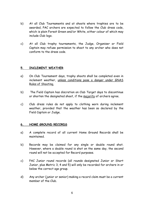- b) At all Club Tournaments and at shoots where trophies are to be awarded, PAC archers are expected to follow the Club dress code, which is plain Forest Green and/or White, either colour of which may include Club logo.
- c) At all Club trophy tournaments, the Judge, Organiser or Field Captain may refuse permission to shoot to any archer who does not conform to the dress code.

#### **5. INCLEMENT WEATHER**

- a) On Club Tournament days, trophy shoots shall be completed even in inclement weather, unless conditions pose a danger under GNAS Rules of Shooting.
- b) The Field Captain has discretion on Club Target days to discontinue or shorten the designated shoot, if the majority of archers agree.
- c) Club dress rules do not apply to clothing worn during inclement weather, provided that the weather has been so declared by the Field Captain or Judge.

# **6. HOME GROUND RECORDS**

- a) A complete record of all current Home Ground Records shall be maintained.
- b) Records may be claimed for any single or double round shot. However, where a double round is shot on the same day, the second round will not be accepted for Record purposes.
- c) PAC Junior round records (all rounds designated Junior or Short Junior, plus Metric 3, 4 and 5) will only be recorded for archers in or below the correct age group.
- d) Any archer (junior or senior) making a record claim must be a current member of the Club.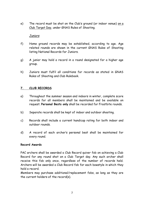e) The record must be shot on the Club's ground (or indoor venue) on a Club Target Day, under GNAS Rules of Shooting.

# *Juniors*

- f) Home ground records may be established, according to age. Age related rounds are shown in the current GNAS Rules of Shooting listing National Records for Juniors.
- g) A junior may hold a record in a round designated for a higher age group.
- h) Juniors must fulfil all conditions for records as stated in GNAS Rules of Shooting and Club Rulebook.

# **7. CLUB RECORDS**

- a) Throughout the summer season and indoors in winter, complete score records for all members shall be maintained and be available on request. **Personal Bests only** shall be recorded for Frostbite rounds.
- b) Separate records shall be kept of indoor and outdoor shooting.
- c) Records shall include a current handicap rating for both indoor and outdoor rounds.
- d) A record of each archer's personal best shall be maintained for every round.

#### **Record Awards**

PAC archers shall be awarded a Club Record quiver fob on achieving a Club Record for any round shot on a Club Target day. Any such archer shall receive this fob only once, regardless of the number of records held. Archers will be awarded a Club Record fob for each bowstyle in which they hold a record.

Members may purchase additional/replacement fobs, as long as they are the current holders of the record(s).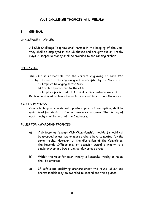# **CLUB CHALLENGE TROPHIES AND MEDALS**

# **1. GENERAL**

# CHALLENGE TROPHIES

All Club Challenge Trophies shall remain in the keeping of the Club; they shall be displayed in the Clubhouse and brought out on Trophy Days. A keepsake trophy shall be awarded to the winning archer.

#### ENGRAVING

The Club is responsible for the correct engraving of each PAC trophy. The cost of the engraving will be accepted by the Club for:

- a) Trophies belonging to the Club
- b) Trophies presented to the Club
- c) Trophies presented as National or International awards.

Replica cups, medals, brooches or bars are excluded from the above.

#### TROPHY RECORDS

Complete trophy records, with photographs and description, shall be maintained for identification and insurance purposes. The history of each trophy shall be kept at the Clubhouse.

#### RULES FOR AWARDING TROPHIES

- a) Club trophies (except Club Championship trophies) should not be awarded unless two or more archers have competed for the same trophy. However, at the discretion of the Committee, the Records Officer may on occasion award a trophy to a single archer in a bow style, gender or age group.
- b) Within the rules for each trophy, a keepsake trophy or medal shall be awarded.
- c) If sufficient qualifying archers shoot the round, silver and bronze medals may be awarded to second and third places.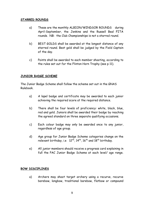# **STARRED ROUNDS**

- a) These are the monthly ALBION/WINDSOR ROUNDS during April-September, the Jenkins and the Russell Beal FITA rounds. NB: the Club Championships is not a starred round.
- b) BEST GOLDS shall be awarded at the longest distance of any starred round. Best gold shall be judged by the Field Captain of the day.
- c) Points shall be awarded to each member shooting, according to the rules set out for the Flinton Horn Trophy (see p 11).

# **JUNIOR BADGE SCHEME**

The Junior Badge Scheme shall follow the scheme set out in the GNAS Rulebook.

- a) A lapel badge and certificate may be awarded to each junior achieving the required score at the required distance.
- b) There shall be four levels of proficiency: white, black, blue, red and gold. Juniors shall be awarded their badge by reaching the agreed standard on three separate qualifying occasions.
- c) Each colour badge may only be awarded once to any junior, regardless of age group.
- d) Age group for Junior Badge Scheme categories change on the relevant birthday, i.e  $12^{th}$ ,  $14^{th}$ ,  $16^{th}$  and  $18^{th}$  birthday.
- e) All junior members should receive a progress card explaining in full the PAC Junior Badge Scheme at each level/ age range.

#### **BOW DISCIPLINES**

a) Archers may shoot target archery using a recurve, recurve barebow, longbow, traditional barebow, flatbow or compound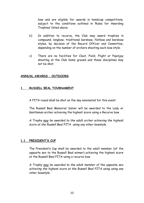bow and are eligible for awards in handicap competitions, subject to the conditions outlined in 'Rules for Awarding Trophies' listed above.

- b) In addition to recurve, the Club may award trophies in compound, longbow, traditional barebow, flatbow and barebow styles, by decision of the Record Officer and Committee, depending on the number of archers shooting each bow style.
- c) There are no facilities for Clout, Field, Flight or Popinjay shooting at the Club home ground and these disciplines may not be shot.

# **ANNUAL AWARDS – OUTDOORS**

#### **1. RUSSELL BEAL TOURNAMENT**

A FITA round shall be shot on the day nominated for this event.

The Russell Beal Memorial Salver will be awarded to the Lady or Gentleman archer achieving the highest score using a Recurve bow.

*A Trophy may be awarded to the adult archer achieving the highest score at the Russell Beal FITA using any other bowstyle.*

# **1.1 PRESIDENT'S CUP**

The President's Cup shall be awarded to the adult member (of the opposite sex to the Russell Beal winner) achieving the highest score at the Russell Beal FITA using a recurve bow.

*A Trophy may be awarded to the adult member of the opposite sex achieving the highest score at the Russell Beal FITA using using any other bowstyle.*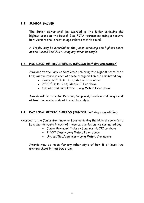# **1.2 JUNIOR SALVER**

The Junior Salver shall be awarded to the junior achieving the highest score at the Russell Beal FITA tournament using a recurve bow. Juniors shall shoot an age-related Metric round.

*A Trophy may be awarded to the junior achieving the highest score at the Russell Beal FITA using any other bowstyle.*

# **1.3. PAC LONG METRIC SHIELDS (SENIOR half day competition)**

Awarded to the Lady or Gentleman achieving the highest score for a Long Metric round in each of these categories on the nominated day:

- Bowman/1st Class Long Metric II or above
- $\bullet$   $\,$  2 $^{\rm nd}/3^{\rm rd}$  Class Long Metric III or above
- Unclassified and Novice Long Metric IV or above

Awards will be made for Recurve, Compound, Barebow and Longbow if at least two archers shoot in each bow style.

# **1.4 PAC LONG METRIC SHIELDS (JUNIOR half day competition)**

Awarded to the Junior Gentleman or Lady achieving the highest score for a Long Metric round in each of these categories on the nominated day

- Junior Bowman/1<sup>st</sup> class Long Metric III or above
- 2<sup>nd</sup>/3<sup>rd</sup> Class Long Metric IV or above
- Unclassified/beginner Long Metric V or above

Awards may be made for any other style of bow if at least two archers shoot in that bow style.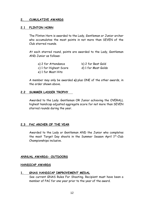#### **2. CUMULATIVE AWARDS**

#### **2.1 FLINTON HORN**

The Flinton Horn is awarded to the Lady, Gentleman or Junior archer who accumulates the most points in not more than SEVEN of the Club starred rounds.

At each starred round, points are awarded to the Lady, Gentleman AND Junior as follows:

| a) 2 for Attendance    | b) 2 for Best Gold  |
|------------------------|---------------------|
| c) 1 for Highest Score | d) 1 for Most Golds |
| e) 1 for Most Hits     |                     |

A member may only be awarded **a)** plus ONE of the other awards, in the order shown above.

#### **2.2 SUMMER LADDER TROPHY**

Awarded to the Lady. Gentleman OR Junior achieving the OVERALL highest handicap adjusted aggregate score for not more than SEVEN starred rounds during the year.

# **2.3 PAC ARCHER OF THE YEAR**

Awarded to the Lady or Gentleman AND the Junior who completes the most Target Day shoots in the Summer Season April 1st-Club Championships inclusive.

#### **ANNUAL AWARDS- OUTDOORS**

#### **HANDICAP AWARDS**

#### **1. GNAS HANDICAP IMPROVEMENT MEDAL**

See current GNAS Rules For Shooting. Recipient must have been a member of PAC for one year prior to the year of the award.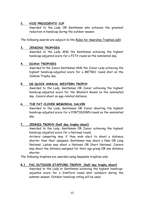# **2. VICE PRESIDENTS' CUP**

Awarded to the Lady OR Gentleman who achieves the greatest reduction in handicap during the outdoor season.

*The following awards are subject to the Rules for Awarding Trophies (p8):*

# **3. JENKINS TROPHIES**

Awarded to the Lady AND the Gentleman achieving the highest handicap-adjusted score for a FITA round on the nominated day.

# **4. DIANA TROPHIES**

Awarded to the Junior Gentleman AND the Junior Lady achieving the highest handicap-adjusted score for a METRIC round shot on the Jenkins Trophy day.

# **5. DG QUICK ANNUAL WESTERN TROPHY**

Awarded to the Lady, Gentleman OR Junior achieving the highest handicap-adjusted score for the Western Round on the nominated day. Juniors shoot an age-related distance.

# **6. THE PAT CLOVER MEMORIAL SALVER**

Awarded to the Lady, Gentleman OR Junior shooting the highest handicap-adjusted score for a PORTSDOWN round on the nominated day.

# **7. JENNIS TROPHY (half day trophy shoot)**

Awarded to the Lady, Gentleman OR Junior achieving the highest handicap-adjusted score for a National round.

Archers competing may if they wish elect to shoot a distance shorter than their assigned: Gentlemen may shoot a New OR Long National; Ladies may shoot a National OR Short National; Juniors may shoot the distance assigned for their age group OR one distance shorter.

*The following trophies are awarded using keepsake trophies only:*

# **8.1 PAC OUTDOOR STAFFORD TROPHY (half day trophy shoot)**

Awarded to the Lady or Gentleman achieving the highest handicapadjusted score for a Stafford round shot outdoors during the summer season. Outdoor handicap rating will be used.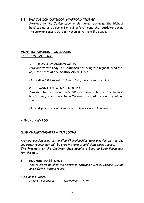# **8.2 PAC JUNIOR OUTDOOR STAFFORD TROPHY**

Awarded to the Junior Lady or Gentleman achieving the highest handicap-adjusted score for a Stafford round shot outdoors during the summer season. Outdoor handicap rating will be used.

# **MONTHLY AWARDS – OUTDOORS** BASED ON HANDICAP

# **1. MONTHLY ALBION MEDAL**

Awarded to the Lady OR Gentleman achieving the highest handicapadjusted score at the monthly Albion shoot.

*Note: An adult may win this award only once in each season.* 

# **2. MONTHLY WINDSOR MEDAL**

Awarded to the Junior Lady OR Gentleman achieving the highest handicap-adjusted score for a Windsor round at the monthly Albion shoot.

*Note: A junior may win this award only once in each season.* 

# **ANNUAL AWARDS**

# **CLUB CHAMPIONSHIPS – OUTDOORS**

*Archers participating in the Club Championships take priority on this day and other rounds may only be shot if there is sufficient target space. The President or the Chairman shall appoint a Lord or Lady Paramount for the day.* 

# **1. ROUNDS TO BE SHOT**

*The round to be shot will alternate between a GNAS Imperial Round and a GNAS Metric round.*

# *Even dated years: Ladies – Hereford Gentlemen - York*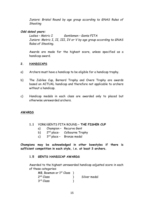*Juniors: Bristol Round by age group according to GNAS Rules of Shooting*

# *Odd dated years:*

*Ladies – Metric I Gentlemen – Gents FITA Juniors: Metric I, II, III, IV or V by age group according to GNAS Rules of Shooting.*

Awards are made for the highest score, unless specified as a handicap award.

#### **2. HANDICAPS**

- a) Archers must have a handicap to be eligible for a handicap trophy.
- b) The Jubilee Cup, Barnard Trophy and Overs Trophy are awards based on ACTUAL handicap and therefore not applicable to archers without a handicap.
- c) Handicap medals in each class are awarded only to placed but otherwise unrewarded archers.

# **AWARDS**

- **1.1** YORK/GENTS FITA ROUND **– THE FISHER CUP**
	- a) Champion Recurve Gent
	- $b)$  $2<sup>nd</sup>$  place- Colbourne Trophy
	- $c)$  $3<sup>rd</sup>$  place - Bronze medal

**Champions may be acknowledged in other bowstyles if there is sufficient competition in each style, i.e. at least 3 archers.**

#### **1.5 GENTS HANDICAP AWARDS**

Awarded to the highest unrewarded handicap adjusted score in each of these categories:

| MB, Bowman or $1st$ Class ) |              |
|-----------------------------|--------------|
| 2 <sup>nd</sup> Class       | Silver medal |
| 3 <sup>rd</sup> Class       |              |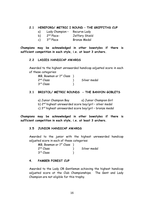#### **2.1 HEREFORD/ METRIC I ROUND – THE GRIFFITHS CUP**

- 
- a) Lady Champion Recurve Lady<br>b) 2<sup>nd</sup> Place- Jeffery Shiel  $b)$ <sup>nd</sup> Place- Jeffery Shield
- $c)$ <sup>rd</sup> Place Bronze Medal

**Champions may be acknowledged in other bowstyles if there is sufficient competition in each style, i.e. at least 3 archers.**

#### **2.2 LADIES HANDICAP AWARDS**

Awarded to the highest unrewarded handicap adjusted score in each of these categories:

| MB, Bowman or $1st$ Class $)$ |              |
|-------------------------------|--------------|
| 2 <sup>nd</sup> Class         | Silver medal |
| 3 <sup>rd</sup> Class         |              |

# **3.1 BRISTOL/ METRIC ROUNDS - THE BANYON GOBLETS**

| a) Junior Champion Boy | a) Junior Champion Girl |
|------------------------|-------------------------|
|------------------------|-------------------------|

- b) 2nd highest unrewarded score boy/girl silver medal
- c) 3rd highest unrewarded score boy/girl bronze medal

**Champions may be acknowledged in other bowstyles if there is sufficient competition in each style, i.e. at least 3 archers.**

#### **3.5 JUNIOR HANDICAP AWARDS**

Awarded to the junior with the highest unrewarded handicap adjusted score in each of these categories:

| MB, Bowman or $1st$ Class ) |              |
|-----------------------------|--------------|
| 2 <sup>nd</sup> Class       | Silver medal |
| 3 <sup>rd</sup> Class       |              |

#### **4. PAMBER FOREST CUP**

Awarded to the Lady OR Gentleman achieving the highest handicap adjusted score at the Club Championships. The Gent and Lady Champion are not eligible for this trophy.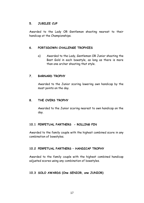# **5. JUBILEE CUP**

Awarded to the Lady OR Gentleman shooting nearest to their handicap at the Championships.

# **6. PORTSDOWN CHALLENGE TROPHIES**

a) Awarded to the Lady, Gentleman OR Junior shooting the Best Gold in each bowstyle, as long as there is more than one archer shooting that style.

# **7. BARNARD TROPHY**

Awarded to the Junior scoring lowering own handicap by the most points on the day.

#### **8. THE OVERS TROPHY**

Awarded to the Junior scoring nearest to own handicap on the day.

# **10.1 PERPETUAL PARTNERS - ROLLING PIN**

Awarded to the family couple with the highest combined score in any combination of bowstyles.

# **10.2 PERPETUAL PARTNERS – HANDICAP TROPHY**

Awarded to the family couple with the highest combined handicap adjusted scores using any combination of bowstyles.

#### **10.3 SOLO AWARDS (One SENIOR, one JUNIOR)**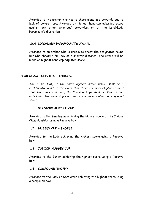Awarded to the archer who has to shoot alone in a bowstyle due to lack of competitors. Awarded on highest handicap adjusted score against any other 'shortage' bowstyles, or at the Lord/Lady Paramount's discretion.

# **10.4 LORD/LADY PARAMOUNT'S AWARD**

Awarded to an archer who is unable to shoot the designated round but who shoots a full day at a shorter distance. The award will be made on highest handicap adjusted score.

# **CLUB CHAMPIONSHIPS – INDOORS**

*The round shot, at the Club's agreed indoor venue, shall be a Portsmouth round. In the event that there are more eligible archers than the venue can hold, the Championships shall be shot on two dates and the awards presented at the next viable home ground shoot.*

# **1.1 GLASGOW JUBILEE CUP**

Awarded to the Gentleman achieving the highest score at the Indoor Championships using a Recurve bow.

# **1.2 HUSSEY CUP - LADIES**

Awarded to the Lady achieving the highest score using a Recurve bow.

# **1.3 JUNIOR HUSSEY CUP**

Awarded to the Junior achieving the highest score using a Recurve bow.

#### **1.4 COMPOUND TROPHY**

Awarded to the Lady or Gentleman achieving the highest score using a compound bow.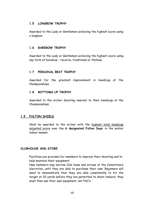#### **1.5 LONGBOW TROPHY**

Awarded to the Lady or Gentleman achieving the highest score using a longbow.

# **1.6 BAREBOW TROPHY**

Awarded to the Lady or Gentleman achieving the highest score using any form of barebow – recurve, traditional or flatbow.

# **1.7 PERSONAL BEST TROPHY**

Awarded for the greatest improvement in handicap at the Championships.

# **1.8 BOTTOMS UP TROPHY**

Awarded to the archer shooting nearest to their handicap at the Championships.

# **1.9 FULTON SHIELD**

.

Shall be awarded to the archer with the highest total handicap adjusted score over the **6 designated Fulton Days** in the winter indoor season

#### **CLUBHOUSE AND STORE**

Facilities are provided for members to improve their shooting and to help maintain their equipment.

New members may borrow Club bows and arrows at the Committee's discretion*,* until they are able to purchase their own. Beginners will need to demonstrate that they are able consistently to hit the target at 20 yards before they are permitted to shoot indoors; they must then use their own equipment, not PAC's.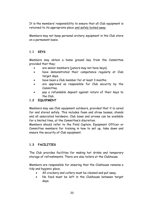It is the members' responsibility to ensure that all Club equipment is returned to its appropriate place and safely locked away.

Members may not keep personal archery equipment in the Club store on a permanent basis.

# **1.1 KEYS**

Members may obtain a home ground key from the Committee provided that they:

- are senior members (juniors may not have keys).
- have demonstrated their competence regularly at Club target days.
- have been a Club member for at least 3 months.
- are approved as responsible for Club security by the Committee.
- pay a refundable deposit against return of their keys to the Club.

# **1.2 EQUIPMENT**

Members may use Club equipment outdoors, provided that it is cared for and stored safely. This includes foam and straw bosses, stands and all associated hardware. Club bows and arrows can be available for a limited time, at the Committee's discretion.

Members should refer to the Field Captain, Equipment Officer or Committee members for training in how to set up, take down and ensure the security of Club equipment.

# **1.3 FACILITIES**

The Club provides facilities for making hot drinks and temporary storage of refreshments. There are also toilets at the Clubhouse.

Members are responsible for ensuring that the Clubhouse remains a tidy and hygienic place.

- All crockery and cutlery must be cleaned and put away.
- No food must be left in the Clubhouse between target days.